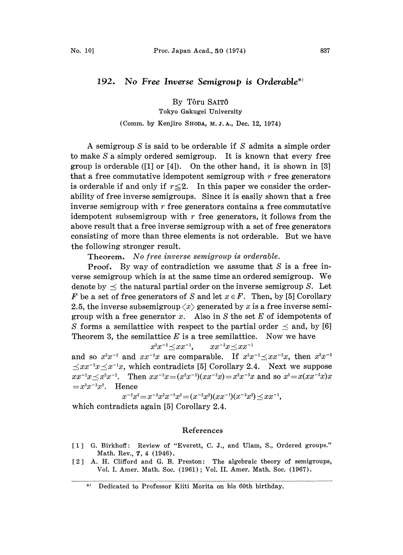## 192. No Free Inverse Semigroup is Orderable\*

By Tôru SAITÔ Tokyo Gakugei University

## (Comm. by Kenjiro SHODA, M. Z. A., Dec. 12, 1974)

A semigroup S is said to be orderable if S admits <sup>a</sup> simple order to make S a simply ordered semigroup. It is known that every free group is orderable ([1] or [4]). On the other hand, it is shown in [3] that a free commutative idempotent semigroup with  $r$  free generators is orderable if and only if  $r \leq 2$ . In this paper we consider the orderability of free inverse semigroups. Since it is easily shown that a free inverse semigroup with  $r$  free generators contains a free commutative idempotent subsemigroup with  $r$  free generators, it follows from the above result that a free inverse semigroup with a set of free generators consisting of more than three elements is not orderable. But we have the following stronger result.

Theorem. No free inverse semigroup is orderable.

**Proof.** By way of contradiction we assume that  $S$  is a free inverse semigroup which is at the same time an ordered semigroup. We denote by  $\prec$  the natural partial order on the inverse semigroup S. Let F be a set of free generators of S and let  $x \in F$ . Then, by [5] Corollary 2.5, the inverse subsemigroup  $\langle x \rangle$  generated by x is a free inverse semigroup with a free generator x. Also in S the set E of idempotents of S forms a semilattice with respect to the partial order  $\leq$  and, by [6] Theorem 3, the semilattice  $E$  is a tree semilattice. Now we have

 $x^2x^{-2} \leq xx^{-1}$ ,  $xx^{-2}x \preceq xx^{-1}$ 

and so  $x^2x^{-2}$  and  $xx^{-2}x$  are comparable. If  $x^2x$ and so  $x^2x^{-2}$  and  $xx^{-2}x$  are comparable. If  $x^2x^{-2} \leq xx^{-2}x$ , then  $x^2x^{-2} \leq xx^{-2}x \leq x^{-1}x$ , which contradicts [5] Corollary 2.4. Next we suppose  $xx^{-2}x \leq x^2x^{-2}$ . Then  $xx^{-2}x = (x^2x^{-2})(xx^{-2}x) = x^2x^{-3}x$  and so  $x^2 = x(xx^{-2}x)x$  $=x^3x^{-3}x^2$ . Hence

 $x^{-2}x^2 = x^{-2}x^3x^{-3}x^2 = (x^{-2}x^2)(xx^{-1})(x^{-2}x^2) \leq xx^{-1}$ ,

which contradicts again [5] Corollary 2.4.

## References

- [1] G. Birkhoff: Review of "Everett, C. J., and Ulam, S., Ordered groups." Math. Rev., 7, 4 (1946).
- [2] A. H. Clifford and G. B. Preston: The algebraic theory of semigroups, Vol. I. Amer. Math. Soc. (1961); Vol. II. Amer. Math. Soc. (1967).

<sup>\*)</sup> Dedicated to Professor Kiiti Morita on his 60th birthday.